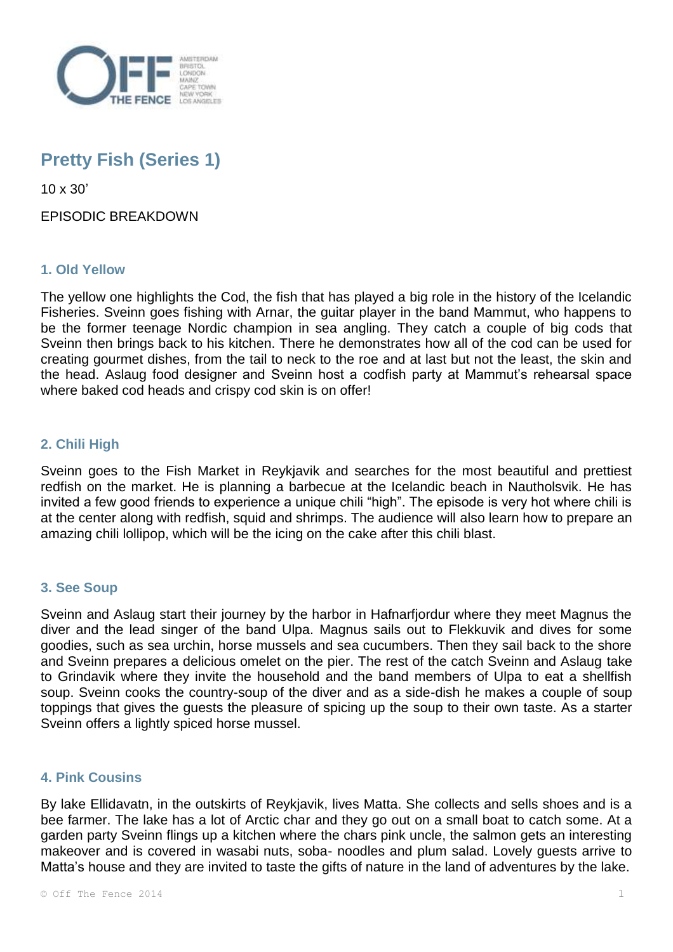

# **Pretty Fish (Series 1)**

10 x 30'

EPISODIC BREAKDOWN

# **1. Old Yellow**

The yellow one highlights the Cod, the fish that has played a big role in the history of the Icelandic Fisheries. Sveinn goes fishing with Arnar, the guitar player in the band Mammut, who happens to be the former teenage Nordic champion in sea angling. They catch a couple of big cods that Sveinn then brings back to his kitchen. There he demonstrates how all of the cod can be used for creating gourmet dishes, from the tail to neck to the roe and at last but not the least, the skin and the head. Aslaug food designer and Sveinn host a codfish party at Mammut's rehearsal space where baked cod heads and crispy cod skin is on offer!

# **2. Chili High**

Sveinn goes to the Fish Market in Reykjavik and searches for the most beautiful and prettiest redfish on the market. He is planning a barbecue at the Icelandic beach in Nautholsvik. He has invited a few good friends to experience a unique chili "high". The episode is very hot where chili is at the center along with redfish, squid and shrimps. The audience will also learn how to prepare an amazing chili lollipop, which will be the icing on the cake after this chili blast.

# **3. See Soup**

Sveinn and Aslaug start their journey by the harbor in Hafnarfjordur where they meet Magnus the diver and the lead singer of the band Ulpa. Magnus sails out to Flekkuvik and dives for some goodies, such as sea urchin, horse mussels and sea cucumbers. Then they sail back to the shore and Sveinn prepares a delicious omelet on the pier. The rest of the catch Sveinn and Aslaug take to Grindavik where they invite the household and the band members of Ulpa to eat a shellfish soup. Sveinn cooks the country-soup of the diver and as a side-dish he makes a couple of soup toppings that gives the guests the pleasure of spicing up the soup to their own taste. As a starter Sveinn offers a lightly spiced horse mussel.

# **4. Pink Cousins**

By lake Ellidavatn, in the outskirts of Reykjavik, lives Matta. She collects and sells shoes and is a bee farmer. The lake has a lot of Arctic char and they go out on a small boat to catch some. At a garden party Sveinn flings up a kitchen where the chars pink uncle, the salmon gets an interesting makeover and is covered in wasabi nuts, soba- noodles and plum salad. Lovely guests arrive to Matta's house and they are invited to taste the gifts of nature in the land of adventures by the lake.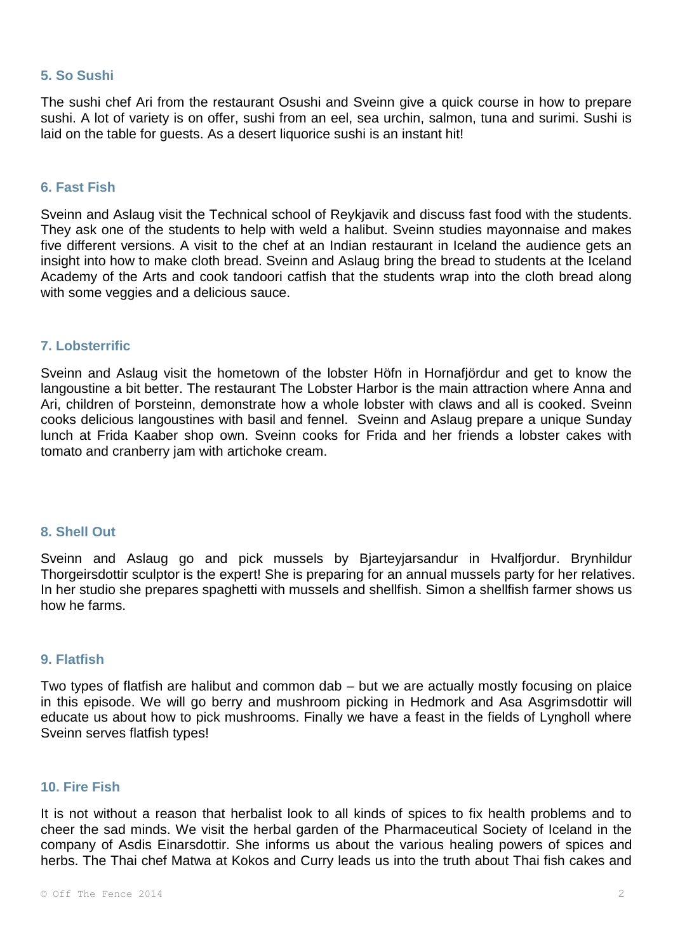# **5. So Sushi**

The sushi chef Ari from the restaurant Osushi and Sveinn give a quick course in how to prepare sushi. A lot of variety is on offer, sushi from an eel, sea urchin, salmon, tuna and surimi. Sushi is laid on the table for guests. As a desert liquorice sushi is an instant hit!

#### **6. Fast Fish**

Sveinn and Aslaug visit the Technical school of Reykjavik and discuss fast food with the students. They ask one of the students to help with weld a halibut. Sveinn studies mayonnaise and makes five different versions. A visit to the chef at an Indian restaurant in Iceland the audience gets an insight into how to make cloth bread. Sveinn and Aslaug bring the bread to students at the Iceland Academy of the Arts and cook tandoori catfish that the students wrap into the cloth bread along with some veggies and a delicious sauce.

#### **7. Lobsterrific**

Sveinn and Aslaug visit the hometown of the lobster Höfn in Hornafjördur and get to know the langoustine a bit better. The restaurant The Lobster Harbor is the main attraction where Anna and Ari, children of Þorsteinn, demonstrate how a whole lobster with claws and all is cooked. Sveinn cooks delicious langoustines with basil and fennel. Sveinn and Aslaug prepare a unique Sunday lunch at Frida Kaaber shop own. Sveinn cooks for Frida and her friends a lobster cakes with tomato and cranberry jam with artichoke cream.

#### **8. Shell Out**

Sveinn and Aslaug go and pick mussels by Bjarteyjarsandur in Hvalfjordur. Brynhildur Thorgeirsdottir sculptor is the expert! She is preparing for an annual mussels party for her relatives. In her studio she prepares spaghetti with mussels and shellfish. Simon a shellfish farmer shows us how he farms.

## **9. Flatfish**

Two types of flatfish are halibut and common dab – but we are actually mostly focusing on plaice in this episode. We will go berry and mushroom picking in Hedmork and Asa Asgrimsdottir will educate us about how to pick mushrooms. Finally we have a feast in the fields of Lyngholl where Sveinn serves flatfish types!

# **10. Fire Fish**

It is not without a reason that herbalist look to all kinds of spices to fix health problems and to cheer the sad minds. We visit the herbal garden of the Pharmaceutical Society of Iceland in the company of Asdis Einarsdottir. She informs us about the various healing powers of spices and herbs. The Thai chef Matwa at Kokos and Curry leads us into the truth about Thai fish cakes and